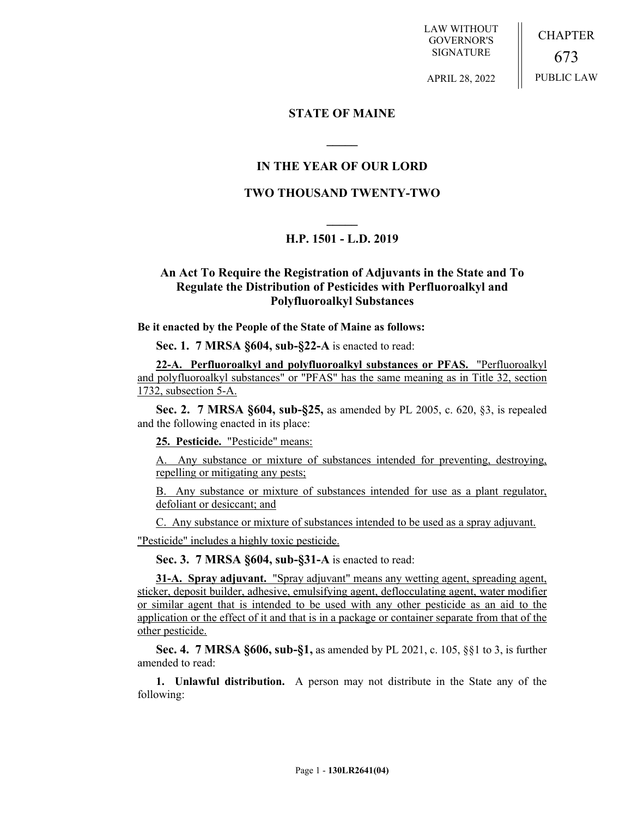LAW WITHOUT GOVERNOR'S SIGNATURE

CHAPTER 673 PUBLIC LAW

APRIL 28, 2022

## **STATE OF MAINE**

# **IN THE YEAR OF OUR LORD**

**\_\_\_\_\_**

# **TWO THOUSAND TWENTY-TWO**

# **\_\_\_\_\_ H.P. 1501 - L.D. 2019**

# **An Act To Require the Registration of Adjuvants in the State and To Regulate the Distribution of Pesticides with Perfluoroalkyl and Polyfluoroalkyl Substances**

**Be it enacted by the People of the State of Maine as follows:**

**Sec. 1. 7 MRSA §604, sub-§22-A** is enacted to read:

**22-A. Perfluoroalkyl and polyfluoroalkyl substances or PFAS.** "Perfluoroalkyl and polyfluoroalkyl substances" or "PFAS" has the same meaning as in Title 32, section 1732, subsection 5-A.

**Sec. 2. 7 MRSA §604, sub-§25,** as amended by PL 2005, c. 620, §3, is repealed and the following enacted in its place:

**25. Pesticide.** "Pesticide" means:

A. Any substance or mixture of substances intended for preventing, destroying, repelling or mitigating any pests;

B. Any substance or mixture of substances intended for use as a plant regulator, defoliant or desiccant; and

C. Any substance or mixture of substances intended to be used as a spray adjuvant.

"Pesticide" includes a highly toxic pesticide.

**Sec. 3. 7 MRSA §604, sub-§31-A** is enacted to read:

**31-A. Spray adjuvant.** "Spray adjuvant" means any wetting agent, spreading agent, sticker, deposit builder, adhesive, emulsifying agent, deflocculating agent, water modifier or similar agent that is intended to be used with any other pesticide as an aid to the application or the effect of it and that is in a package or container separate from that of the other pesticide.

**Sec. 4. 7 MRSA §606, sub-§1,** as amended by PL 2021, c. 105, §§1 to 3, is further amended to read:

**1. Unlawful distribution.** A person may not distribute in the State any of the following: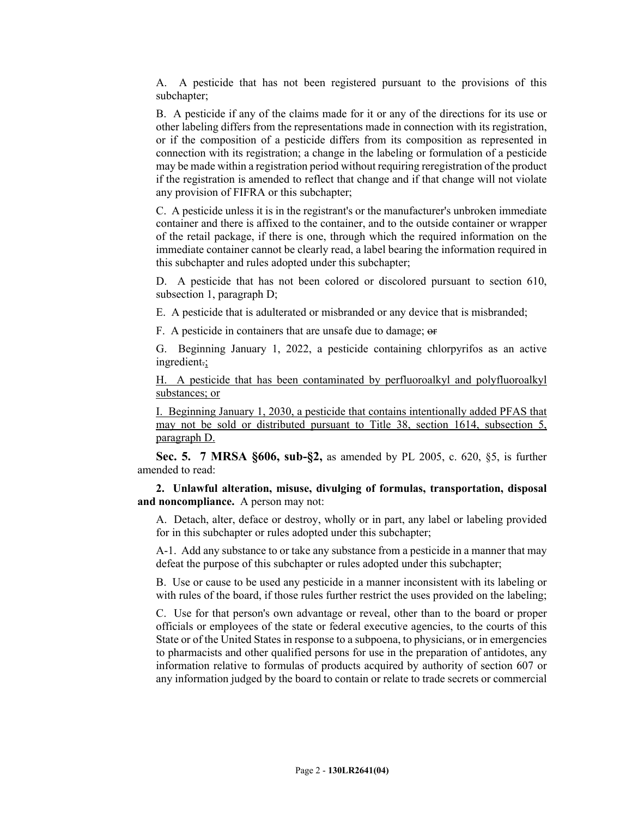A. A pesticide that has not been registered pursuant to the provisions of this subchapter;

B. A pesticide if any of the claims made for it or any of the directions for its use or other labeling differs from the representations made in connection with its registration, or if the composition of a pesticide differs from its composition as represented in connection with its registration; a change in the labeling or formulation of a pesticide may be made within a registration period without requiring reregistration of the product if the registration is amended to reflect that change and if that change will not violate any provision of FIFRA or this subchapter;

C. A pesticide unless it is in the registrant's or the manufacturer's unbroken immediate container and there is affixed to the container, and to the outside container or wrapper of the retail package, if there is one, through which the required information on the immediate container cannot be clearly read, a label bearing the information required in this subchapter and rules adopted under this subchapter;

D. A pesticide that has not been colored or discolored pursuant to section 610, subsection 1, paragraph D;

E. A pesticide that is adulterated or misbranded or any device that is misbranded;

F. A pesticide in containers that are unsafe due to damage; or

G. Beginning January 1, 2022, a pesticide containing chlorpyrifos as an active ingredient.;

H. A pesticide that has been contaminated by perfluoroalkyl and polyfluoroalkyl substances; or

I. Beginning January 1, 2030, a pesticide that contains intentionally added PFAS that may not be sold or distributed pursuant to Title 38, section 1614, subsection 5, paragraph D.

**Sec. 5. 7 MRSA §606, sub-§2,** as amended by PL 2005, c. 620, §5, is further amended to read:

**2. Unlawful alteration, misuse, divulging of formulas, transportation, disposal and noncompliance.** A person may not:

A. Detach, alter, deface or destroy, wholly or in part, any label or labeling provided for in this subchapter or rules adopted under this subchapter;

A-1. Add any substance to or take any substance from a pesticide in a manner that may defeat the purpose of this subchapter or rules adopted under this subchapter;

B. Use or cause to be used any pesticide in a manner inconsistent with its labeling or with rules of the board, if those rules further restrict the uses provided on the labeling;

C. Use for that person's own advantage or reveal, other than to the board or proper officials or employees of the state or federal executive agencies, to the courts of this State or of the United States in response to a subpoena, to physicians, or in emergencies to pharmacists and other qualified persons for use in the preparation of antidotes, any information relative to formulas of products acquired by authority of section 607 or any information judged by the board to contain or relate to trade secrets or commercial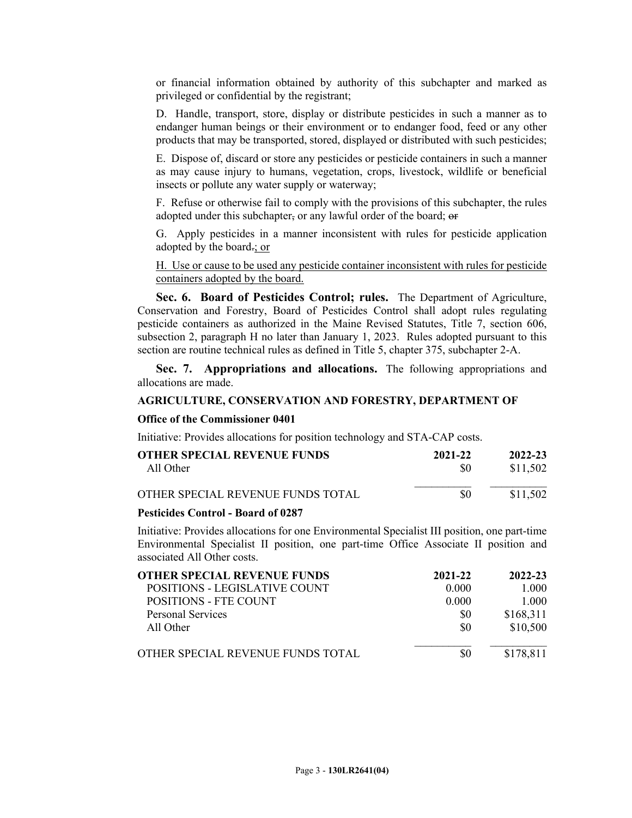or financial information obtained by authority of this subchapter and marked as privileged or confidential by the registrant;

D. Handle, transport, store, display or distribute pesticides in such a manner as to endanger human beings or their environment or to endanger food, feed or any other products that may be transported, stored, displayed or distributed with such pesticides;

E. Dispose of, discard or store any pesticides or pesticide containers in such a manner as may cause injury to humans, vegetation, crops, livestock, wildlife or beneficial insects or pollute any water supply or waterway;

F. Refuse or otherwise fail to comply with the provisions of this subchapter, the rules adopted under this subchapter, or any lawful order of the board; or

G. Apply pesticides in a manner inconsistent with rules for pesticide application adopted by the board.; or

H. Use or cause to be used any pesticide container inconsistent with rules for pesticide containers adopted by the board.

**Sec. 6. Board of Pesticides Control; rules.** The Department of Agriculture, Conservation and Forestry, Board of Pesticides Control shall adopt rules regulating pesticide containers as authorized in the Maine Revised Statutes, Title 7, section 606, subsection 2, paragraph H no later than January 1, 2023. Rules adopted pursuant to this section are routine technical rules as defined in Title 5, chapter 375, subchapter 2-A.

**Sec. 7. Appropriations and allocations.** The following appropriations and allocations are made.

## **AGRICULTURE, CONSERVATION AND FORESTRY, DEPARTMENT OF**

## **Office of the Commissioner 0401**

Initiative: Provides allocations for position technology and STA-CAP costs.

| <b>OTHER SPECIAL REVENUE FUNDS</b> | 2021-22 | 2022-23  |
|------------------------------------|---------|----------|
| All Other                          | \$0     | \$11,502 |
| OTHER SPECIAL REVENUE FUNDS TOTAL  | \$0     | \$11,502 |

### **Pesticides Control - Board of 0287**

Initiative: Provides allocations for one Environmental Specialist III position, one part-time Environmental Specialist II position, one part-time Office Associate II position and associated All Other costs.

| <b>OTHER SPECIAL REVENUE FUNDS</b> | 2021-22 | 2022-23   |
|------------------------------------|---------|-----------|
| POSITIONS - LEGISLATIVE COUNT      | 0.000   | 1.000     |
| <b>POSITIONS - FTE COUNT</b>       | 0.000   | 1.000     |
| <b>Personal Services</b>           | \$0     | \$168,311 |
| All Other                          | \$0     | \$10,500  |
| OTHER SPECIAL REVENUE FUNDS TOTAL  | \$0     | \$178,811 |